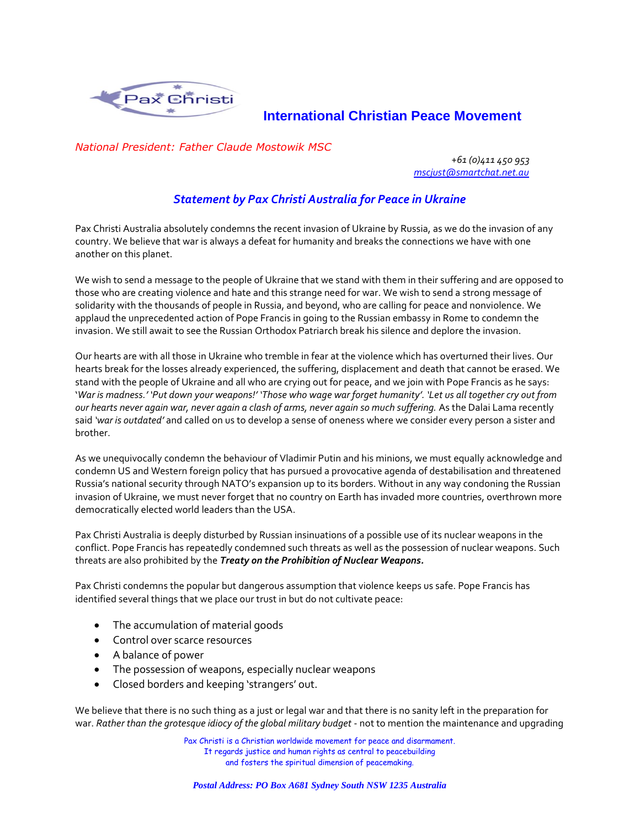

## **International Christian Peace Movement**

*National President: Father Claude Mostowik MSC*

*+61 (0)411 450 953 mscjust@smartchat.net.au*

## *Statement by Pax Christi Australia for Peace in Ukraine*

Pax Christi Australia absolutely condemns the recent invasion of Ukraine by Russia, as we do the invasion of any country. We believe that war is always a defeat for humanity and breaks the connections we have with one another on this planet.

We wish to send a message to the people of Ukraine that we stand with them in their suffering and are opposed to those who are creating violence and hate and this strange need for war. We wish to send a strong message of solidarity with the thousands of people in Russia, and beyond, who are calling for peace and nonviolence. We applaud the unprecedented action of Pope Francis in going to the Russian embassy in Rome to condemn the invasion. We still await to see the Russian Orthodox Patriarch break his silence and deplore the invasion.

Our hearts are with all those in Ukraine who tremble in fear at the violence which has overturned their lives. Our hearts break for the losses already experienced, the suffering, displacement and death that cannot be erased. We stand with the people of Ukraine and all who are crying out for peace, and we join with Pope Francis as he says: '*War is madness.' 'Put down your weapons!' 'Those who wage war forget humanity'. 'Let us all together cry out from our hearts never again war, never again a clash of arms, never again so much suffering.* As the Dalai Lama recently said *'war is outdated'* and called on us to develop a sense of oneness where we consider every person a sister and brother.

As we unequivocally condemn the behaviour of Vladimir Putin and his minions, we must equally acknowledge and condemn US and Western foreign policy that has pursued a provocative agenda of destabilisation and threatened Russia's national security through NATO's expansion up to its borders. Without in any way condoning the Russian invasion of Ukraine, we must never forget that no country on Earth has invaded more countries, overthrown more democratically elected world leaders than the USA.

Pax Christi Australia is deeply disturbed by Russian insinuations of a possible use of its nuclear weapons in the conflict. Pope Francis has repeatedly condemned such threats as well as the possession of nuclear weapons. Such threats are also prohibited by the *Treaty on the Prohibition of Nuclear Weapons.* 

Pax Christi condemns the popular but dangerous assumption that violence keeps us safe. Pope Francis has identified several things that we place our trust in but do not cultivate peace:

- The accumulation of material goods
- Control over scarce resources
- A balance of power
- The possession of weapons, especially nuclear weapons
- Closed borders and keeping 'strangers' out.

We believe that there is no such thing as a just or legal war and that there is no sanity left in the preparation for war. *Rather than the grotesque idiocy of the global military budget* - not to mention the maintenance and upgrading

> Pax Christi is a Christian worldwide movement for peace and disarmament. It regards justice and human rights as central to peacebuilding and fosters the spiritual dimension of peacemaking.